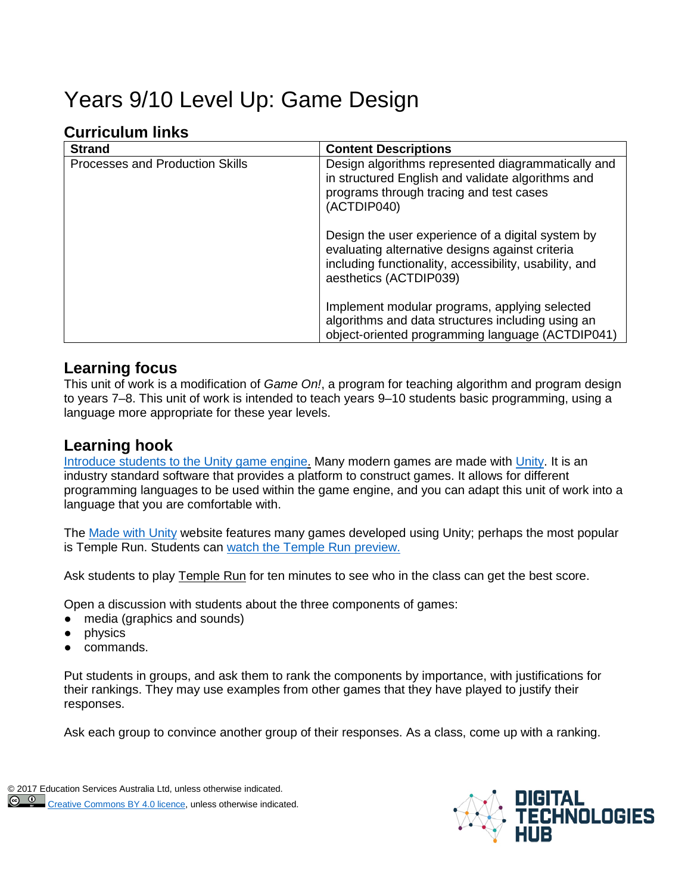# Years 9/10 Level Up: Game Design

# **Curriculum links**

| <b>Strand</b>                   | <b>Content Descriptions</b>                                                                                                                                                              |
|---------------------------------|------------------------------------------------------------------------------------------------------------------------------------------------------------------------------------------|
| Processes and Production Skills | Design algorithms represented diagrammatically and<br>in structured English and validate algorithms and<br>programs through tracing and test cases<br>(ACTDIP040)                        |
|                                 | Design the user experience of a digital system by<br>evaluating alternative designs against criteria<br>including functionality, accessibility, usability, and<br>aesthetics (ACTDIP039) |
|                                 | Implement modular programs, applying selected<br>algorithms and data structures including using an<br>object-oriented programming language (ACTDIP041)                                   |

#### **Learning focus**

This unit of work is a modification of *Game On!*, a program for teaching algorithm and program design to years 7–8. This unit of work is intended to teach years 9–10 students basic programming, using a language more appropriate for these year levels.

## **Learning hook**

Introduce [students to the Unity game engine.](http://blog.soom.la/2015/01/unity-infographic.html) Many modern games are made with [Unity.](https://unity3d.com/) It is an industry standard software that provides a platform to construct games. It allows for different programming languages to be used within the game engine, and you can adapt this unit of work into a language that you are comfortable with.

The [Made with Unity](https://madewith.unity.com/) website features many games developed using Unity; perhaps the most popular is Temple Run. Students can watch the [Temple Run](https://madewith.unity.com/en/games/temple-run-2) preview.

Ask students to play Temple Run for ten minutes to see who in the class can get the best score.

Open a discussion with students about the three components of games:

- media (graphics and sounds)
- physics
- commands.

Put students in groups, and ask them to rank the components by importance, with justifications for their rankings. They may use examples from other games that they have played to justify their responses.

Ask each group to convince another group of their responses. As a class, come up with a ranking.

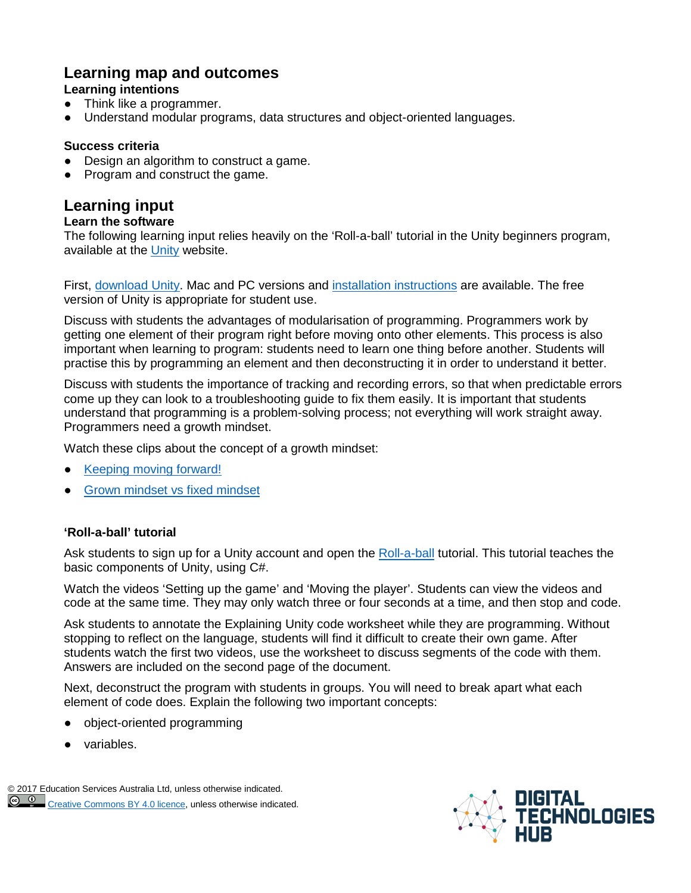# **Learning map and outcomes**

#### **Learning intentions**

- Think like a programmer.
- Understand modular programs, data structures and object-oriented languages.

#### **Success criteria**

- Design an algorithm to construct a game.
- Program and construct the game.

# **Learning input**

#### **Learn the software**

The following learning input relies heavily on the 'Roll-a-ball' tutorial in the Unity beginners program, available at the [Unity](https://unity3d.com/) website.

First, [download Unity.](http://unity3d.com/download) Mac and PC versions and [installation instructions](https://docs.unity3d.com/Manual/InstallingUnity.html) are available. The free version of Unity is appropriate for student use.

Discuss with students the advantages of modularisation of programming. Programmers work by getting one element of their program right before moving onto other elements. This process is also important when learning to program: students need to learn one thing before another. Students will practise this by programming an element and then deconstructing it in order to understand it better.

Discuss with students the importance of tracking and recording errors, so that when predictable errors come up they can look to a troubleshooting guide to fix them easily. It is important that students understand that programming is a problem-solving process; not everything will work straight away. Programmers need a growth mindset.

Watch these clips about the concept of a growth mindset:

- [Keeping moving forward!](https://www.youtube.com/watch?v=7p_eKV3SzwE&list=PLnah-hqu5MaQY5t2GjBAwt9E7iJFYPsOA&index=5)
- [Grown mindset vs fixed mindset](https://www.youtube.com/watch?v=KUWn_TJTrnU)

#### **'Roll-a-ball' tutorial**

Ask students to sign up for a Unity account and open the [Roll-a-ball](https://unity3d.com/learn/tutorials/projects/roll-ball-tutorial) tutorial. This tutorial teaches the basic components of Unity, using C#.

Watch the videos 'Setting up the game' and 'Moving the player'. Students can view the videos and code at the same time. They may only watch three or four seconds at a time, and then stop and code.

Ask students to annotate the Explaining Unity code worksheet while they are programming. Without stopping to reflect on the language, students will find it difficult to create their own game. After students watch the first two videos, use the worksheet to discuss segments of the code with them. Answers are included on the second page of the document.

Next, deconstruct the program with students in groups. You will need to break apart what each element of code does. Explain the following two important concepts:

- object-oriented programming
- [variables.](https://docs.google.com/document/d/1pCC3CR7FJTymFQj7Vr9RKJhE4bzcBni1NrF-3ydF5Zo/edit)

[© 2017 E](https://creativecommons.org/licenses/by/4.0/)ducation Services Australia Ltd, unless otherwise indicated.  $\circ$   $\circ$ [Creative Commons BY 4.0 licence,](https://creativecommons.org/licenses/by/4.0/) unless otherwise indicated.

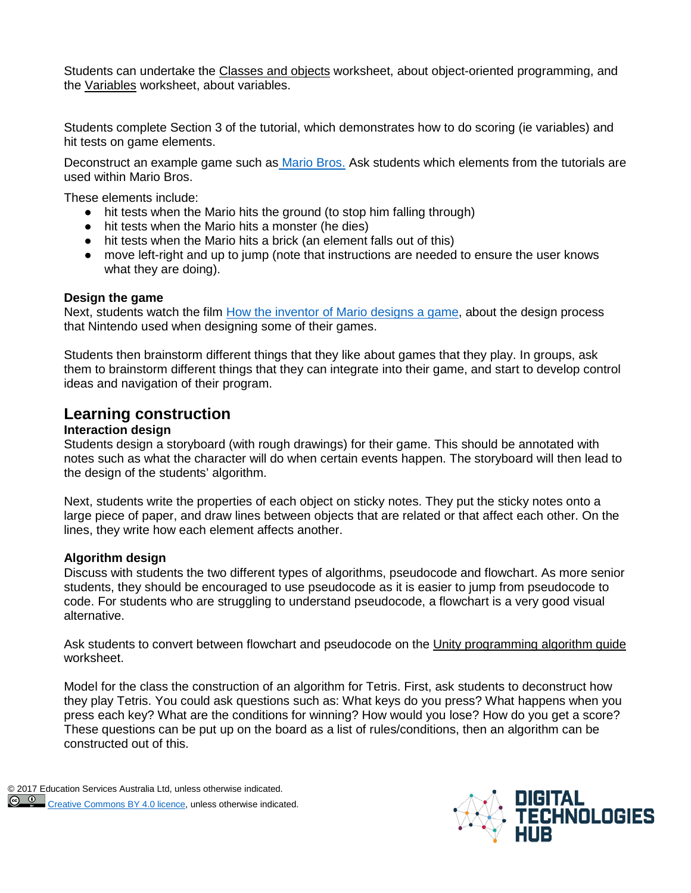Students can undertake the Classes and objects worksheet, about object-oriented programming, and the Variables worksheet, about variables.

Students complete Section 3 of the tutorial, which demonstrates how to do scoring (ie variables) and hit tests on game elements.

Deconstruct an example game such as [Mario Bros.](http://www.mario-games-free.com/super-mario-bros.htm) Ask students which elements from the tutorials are used within Mario Bros.

These elements include:

- hit tests when the Mario hits the ground (to stop him falling through)
- hit tests when the Mario hits a monster (he dies)
- hit tests when the Mario hits a brick (an element falls out of this)
- move left-right and up to jump (note that instructions are needed to ensure the user knows what they are doing).

#### **Design the game**

Next, students watch the film [How the inventor of Mario designs a game,](http://www.vox.com/videos/2017/1/12/14249550/shigeru-miyamoto-mario-design) about the design process that Nintendo used when designing some of their games.

Students then brainstorm different things that they like about games that they play. In groups, ask them to brainstorm different things that they can integrate into their game, and start to develop control ideas and navigation of their program.

#### **Learning construction**

#### **Interaction design**

Students design a storyboard (with rough drawings) for their game. This should be annotated with notes such as what the character will do when certain events happen. The storyboard will then lead to the design of the students' algorithm.

Next, students write the properties of each object on sticky notes. They put the sticky notes onto a large piece of paper, and draw lines between objects that are related or that affect each other. On the lines, they write how each element affects another.

#### **Algorithm design**

Discuss with students the two different types of algorithms, pseudocode and flowchart. As more senior students, they should be encouraged to use pseudocode as it is easier to jump from pseudocode to code. For students who are struggling to understand pseudocode, a flowchart is a very good visual alternative.

Ask students to convert between flowchart and pseudocode on the Unity programming algorithm guide worksheet.

Model for the class the construction of an algorithm for Tetris. First, ask students to deconstruct how they play Tetris. You could ask questions such as: What keys do you press? What happens when you press each key? What are the conditions for winning? How would you lose? How do you get a score? These questions can be put up on the board as a list of rules/conditions, then an algorithm can be constructed out of this.

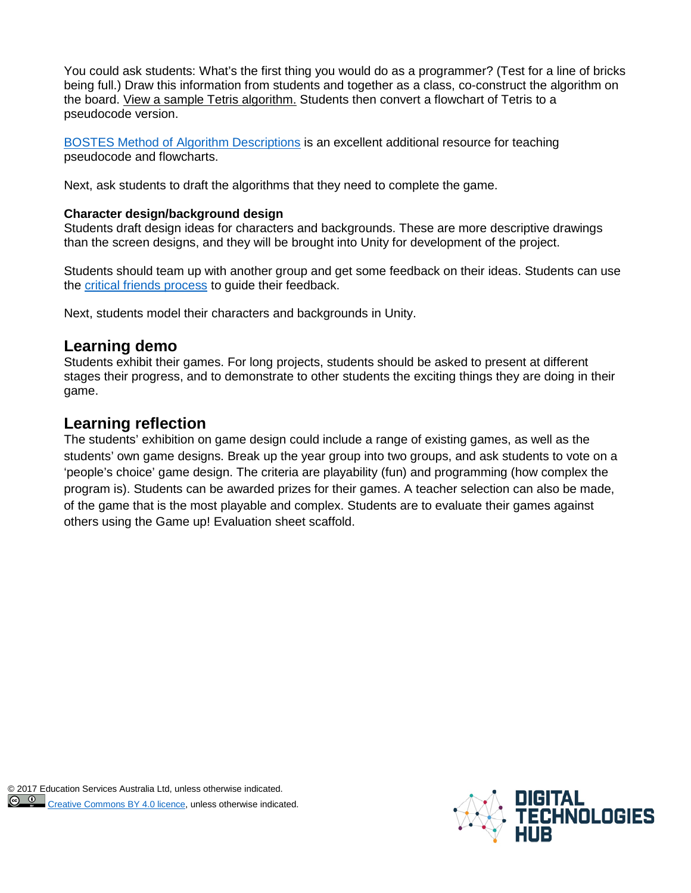You could ask students: What's the first thing you would do as a programmer? (Test for a line of bricks being full.) Draw this information from students and together as a class, co-construct the algorithm on the board. View a sample Tetris algorithm. Students then convert a flowchart of Tetris to a pseudocode version.

[BOSTES Method of Algorithm Descriptions](http://fulmanski.pl/zajecia/ics/materialy/compalgorithm.pdf) is an excellent additional resource for teaching pseudocode and flowcharts.

Next, ask students to draft the algorithms that they need to complete the game.

#### **Character design/background design**

Students draft design ideas for characters and backgrounds. These are more descriptive drawings than the screen designs, and they will be brought into Unity for development of the project.

Students should team up with another group and get some feedback on their ideas. Students can use the [critical friends process](https://depts.washington.edu/ccph/pdf_files/CriticalFriends.pdf) to guide their feedback.

Next, students model their characters and backgrounds in Unity.

## **Learning demo**

Students exhibit their games. For long projects, students should be asked to present at different stages their progress, and to demonstrate to other students the exciting things they are doing in their game.

# **Learning reflection**

The students' exhibition on game design could include a range of existing games, as well as the students' own game designs. Break up the year group into two groups, and ask students to vote on a 'people's choice' game design. The criteria are playability (fun) and programming (how complex the program is). Students can be awarded prizes for their games. A teacher selection can also be made, of the game that is the most playable and complex. Students are to evaluate their games against others using the Game up! Evaluation sheet scaffold.

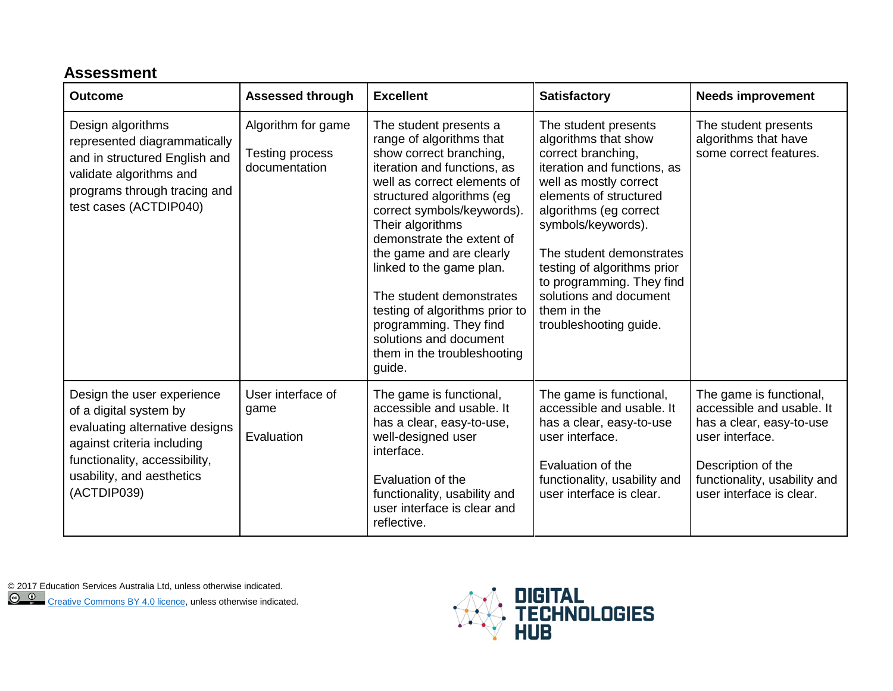# **Assessment**

| <b>Outcome</b>                                                                                                                                                                                    | <b>Assessed through</b>                                | <b>Excellent</b>                                                                                                                                                                                                                                                                                                                                                                                                                                                           | <b>Satisfactory</b>                                                                                                                                                                                                                                                                                                                                              | <b>Needs improvement</b>                                                                                                                                                              |
|---------------------------------------------------------------------------------------------------------------------------------------------------------------------------------------------------|--------------------------------------------------------|----------------------------------------------------------------------------------------------------------------------------------------------------------------------------------------------------------------------------------------------------------------------------------------------------------------------------------------------------------------------------------------------------------------------------------------------------------------------------|------------------------------------------------------------------------------------------------------------------------------------------------------------------------------------------------------------------------------------------------------------------------------------------------------------------------------------------------------------------|---------------------------------------------------------------------------------------------------------------------------------------------------------------------------------------|
| Design algorithms<br>represented diagrammatically<br>and in structured English and<br>validate algorithms and<br>programs through tracing and<br>test cases (ACTDIP040)                           | Algorithm for game<br>Testing process<br>documentation | The student presents a<br>range of algorithms that<br>show correct branching,<br>iteration and functions, as<br>well as correct elements of<br>structured algorithms (eg<br>correct symbols/keywords).<br>Their algorithms<br>demonstrate the extent of<br>the game and are clearly<br>linked to the game plan.<br>The student demonstrates<br>testing of algorithms prior to<br>programming. They find<br>solutions and document<br>them in the troubleshooting<br>guide. | The student presents<br>algorithms that show<br>correct branching,<br>iteration and functions, as<br>well as mostly correct<br>elements of structured<br>algorithms (eg correct<br>symbols/keywords).<br>The student demonstrates<br>testing of algorithms prior<br>to programming. They find<br>solutions and document<br>them in the<br>troubleshooting guide. | The student presents<br>algorithms that have<br>some correct features.                                                                                                                |
| Design the user experience<br>of a digital system by<br>evaluating alternative designs<br>against criteria including<br>functionality, accessibility,<br>usability, and aesthetics<br>(ACTDIP039) | User interface of<br>game<br>Evaluation                | The game is functional,<br>accessible and usable. It<br>has a clear, easy-to-use,<br>well-designed user<br>interface.<br>Evaluation of the<br>functionality, usability and<br>user interface is clear and<br>reflective.                                                                                                                                                                                                                                                   | The game is functional,<br>accessible and usable. It<br>has a clear, easy-to-use<br>user interface.<br>Evaluation of the<br>functionality, usability and<br>user interface is clear.                                                                                                                                                                             | The game is functional,<br>accessible and usable. It<br>has a clear, easy-to-use<br>user interface.<br>Description of the<br>functionality, usability and<br>user interface is clear. |

[© 2017 E](https://creativecommons.org/licenses/by/4.0/)ducation Services Australia Ltd, unless otherwise indicated.

[Creative Commons BY 4.0 licence,](https://creativecommons.org/licenses/by/4.0/) unless otherwise indicated.